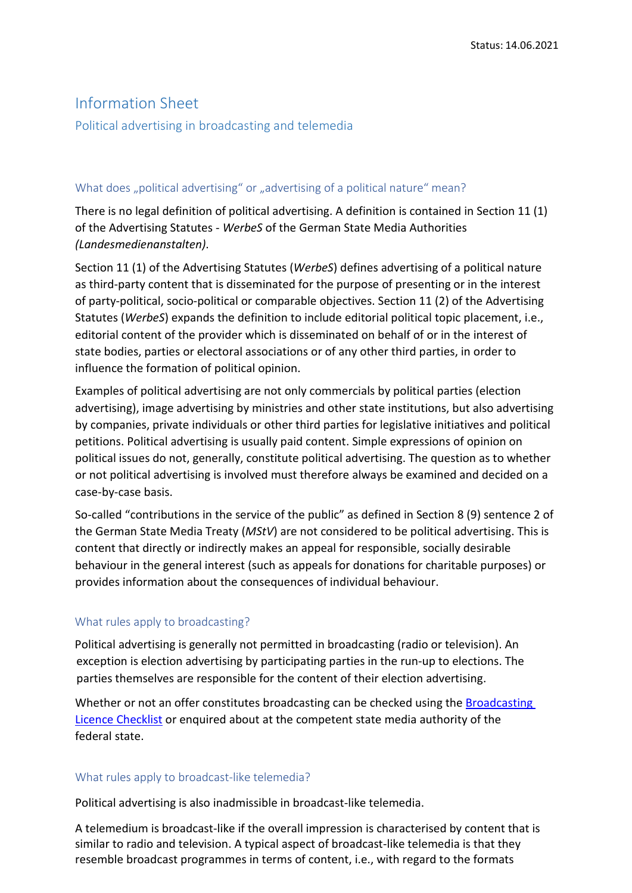# Information Sheet

Political advertising in broadcasting and telemedia

## What does "political advertising" or "advertising of a political nature" mean?

There is no legal definition of political advertising. A definition is contained in Section 11 (1) of the Advertising Statutes - *WerbeS* of the German State Media Authorities *(Landesmedienanstalten)*.

Section 11 (1) of the Advertising Statutes (*WerbeS*) defines advertising of a political nature as third-party content that is disseminated for the purpose of presenting or in the interest of party-political, socio-political or comparable objectives. Section 11 (2) of the Advertising Statutes (*WerbeS*) expands the definition to include editorial political topic placement, i.e., editorial content of the provider which is disseminated on behalf of or in the interest of state bodies, parties or electoral associations or of any other third parties, in order to influence the formation of political opinion.

Examples of political advertising are not only commercials by political parties (election advertising), image advertising by ministries and other state institutions, but also advertising by companies, private individuals or other third parties for legislative initiatives and political petitions. Political advertising is usually paid content. Simple expressions of opinion on political issues do not, generally, constitute political advertising. The question as to whether or not political advertising is involved must therefore always be examined and decided on a case-by-case basis.

So-called "contributions in the service of the public" as defined in Section 8 (9) sentence 2 of the German State Media Treaty (*MStV*) are not considered to be political advertising. This is content that directly or indirectly makes an appeal for responsible, socially desirable behaviour in the general interest (such as appeals for donations for charitable purposes) or provides information about the consequences of individual behaviour.

### What rules apply to broadcasting?

Political advertising is generally not permitted in broadcasting (radio or television). An exception is election advertising by participating parties in the run-up to elections. The parties themselves are responsible for the content of their election advertising.

Whether or not an offer constitutes broadcasting can be checked using the **Broadcasting** [Licence Checklist](https://www.die-medienanstalten.de/fileadmin/user_upload/Rechtsgrundlagen/Richtlinien_Leitfaeden/ua_Checklist_Broadcasting_Licence.pdf) or enquired about at the competent state media authority of the federal state.

#### What rules apply to broadcast-like telemedia?

Political advertising is also inadmissible in broadcast-like telemedia.

A telemedium is broadcast-like if the overall impression is characterised by content that is similar to radio and television. A typical aspect of broadcast-like telemedia is that they resemble broadcast programmes in terms of content, i.e., with regard to the formats